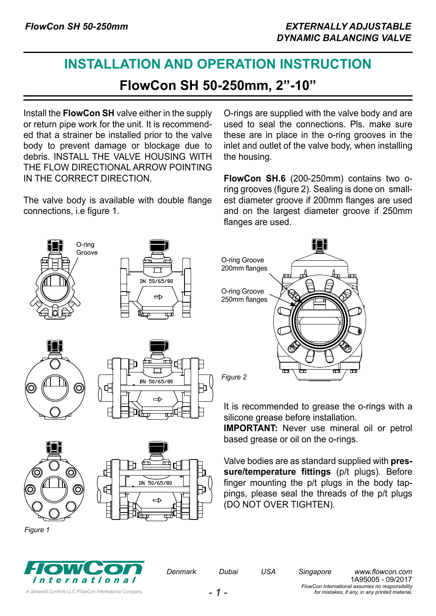# **INSTALLATION AND OPERATION INSTRUCTION**

# **FlowCon SH 50-250mm, 2"-10"**

Install the **FlowCon SH** valve either in the supply or return pipe work for the unit. It is recommended that a strainer be installed prior to the valve body to prevent damage or blockage due to debris. INSTALL THE VALVE HOUSING WITH THE FLOW DIRECTIONAL ARROW POINTING IN THE CORRECT DIRECTION.

The valve body is available with double flange connections, i.e figure 1.

O-rings are supplied with the valve body and are used to seal the connections. Pls. make sure these are in place in the o-ring grooves in the inlet and outlet of the valve body, when installing the housing.

**FlowCon SH.6** (200-250mm) contains two oring grooves (figure 2). Sealing is done on smallest diameter groove if 200mm flanges are used and on the largest diameter groove if 250mm flanges are used.





*- 1 -*

A Griswold Controls LLC /ElowCon International Company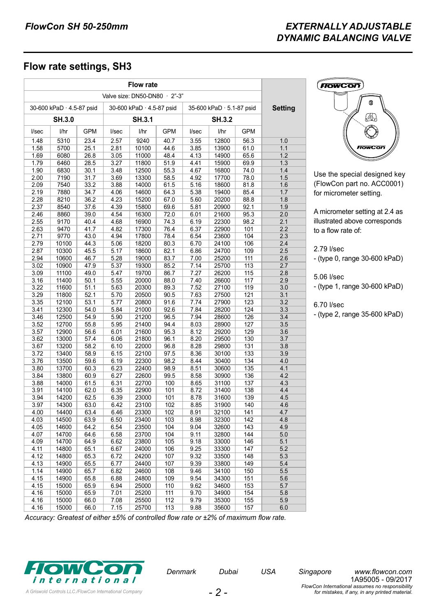|                               |                           |              |                                              | <b>Flow rate</b> |            |                           |                |            |                |
|-------------------------------|---------------------------|--------------|----------------------------------------------|------------------|------------|---------------------------|----------------|------------|----------------|
| Valve size: DN50-DN80 · 2"-3" |                           |              |                                              |                  |            |                           |                |            |                |
|                               | 30-600 kPaD · 4.5-87 psid |              | 30-600 kPaD · 4.5-87 psid                    |                  |            | 35-600 kPaD · 5.1-87 psid |                |            | <b>Setting</b> |
| SH.3.0                        |                           |              | SH.3.1                                       |                  |            | SH.3.2                    |                |            |                |
| l/sec                         | l/hr                      | <b>GPM</b>   | <b>GPM</b><br>l/hr<br>l/sec<br>l/hr<br>I/sec |                  |            |                           |                |            |                |
| 1.48                          | 5310                      | 23.4         | 2.57                                         | 9240             | 40.7       | 3.55                      | 12800          | 56.3       | 1.0            |
| 1.58                          | 5700                      | 25.1         | 2.81                                         | 10100            | 44.6       | 3.85                      | 13900          | 61.0       | 1.1            |
| 1.69                          | 6080                      | 26.8         | 3.05                                         | 11000            | 48.4       | 4.13                      | 14900          | 65.6       | 1.2            |
| 1.79                          | 6460                      | 28.5         | 3.27                                         | 11800            | 51.9       | 4.41                      | 15900          | 69.9       | 1.3            |
| 1.90                          | 6830                      | 30.1         | 3.48                                         | 12500            | 55.3       | 4.67                      | 16800          | 74.0       | 1.4            |
| 2.00                          | 7190                      | 31.7         | 3.69                                         | 13300            | 58.5       | 4.92                      | 17700          | 78.0       | 1.5            |
| 2.09                          | 7540                      | 33.2         | 3.88                                         | 14000            | 61.5       | 5.16                      | 18600          | 81.8       | 1.6            |
| 2.19                          | 7880                      | 34.7         | 4.06                                         | 14600            | 64.3       | 5.38                      | 19400          | 85.4       | 1.7            |
| 2.28                          | 8210                      | 36.2         | 4.23                                         | 15200            | 67.0       | 5.60                      | 20200          | 88.8       | 1.8            |
| 2.37                          | 8540                      | 37.6         | 4.39                                         | 15800            | 69.6       | 5.81                      | 20900          | 92.1       | 1.9            |
| 2.46                          | 8860                      | 39.0         | 4.54                                         | 16300            | 72.0       | 6.01                      | 21600          | 95.3       | 2.0            |
| 2.55                          | 9170                      | 40.4         | 4.68                                         | 16900            | 74.3       | 6.19                      | 22300          | 98.2       | 2.1            |
| 2.63                          | 9470                      | 41.7         | 4.82                                         | 17300            | 76.4       | 6.37                      | 22900          | 101        | 2.2            |
| 2.71                          | 9770                      | 43.0         | 4.94                                         | 17800            | 78.4       | 6.54                      | 23600          | 104        | 2.3            |
| 2.79                          | 10100                     | 44.3         | 5.06                                         | 18200            | 80.3       | 6.70                      | 24100          | 106        | 2.4            |
| 2.87                          | 10300                     | 45.5         | 5.17                                         | 18600            | 82.1       | 6.86                      | 24700          | 109        | 2.5            |
| 2.94                          | 10600                     | 46.7         | 5.28                                         | 19000            | 83.7       | 7.00                      | 25200          | 111        | 2.6            |
| 3.02                          | 10900                     | 47.9         | 5.37                                         | 19300            | 85.2       | 7.14                      | 25700          | 113        | 2.7            |
| 3.09                          | 11100                     | 49.0         | 5.47                                         | 19700            | 86.7       | 7.27                      | 26200          | 115        | 2.8            |
| 3.16                          | 11400                     | 50.1         | 5.55                                         | 20000            | 88.0       | 7.40                      | 26600          | 117        | 2.9            |
| 3.22                          | 11600                     | 51.1         | 5.63                                         | 20300            | 89.3       | 7.52                      | 27100          | 119        | 3.0            |
| 3.29                          | 11800                     | 52.1         | 5.70                                         | 20500            | 90.5       | 7.63                      | 27500          | 121        | 3.1            |
| 3.35                          | 12100                     | 53.1         | 5.77                                         | 20800            | 91.6       | 7.74                      | 27900          | 123        | 3.2            |
| 3.41                          | 12300                     | 54.0         | 5.84                                         | 21000            | 92.6       | 7.84                      | 28200          | 124        | 3.3            |
| 3.46                          | 12500                     | 54.9         | 5.90                                         | 21200            | 96.5       | 7.94                      | 28600          | 126        | 3.4            |
| 3.52                          | 12700                     | 55.8         | 5.95                                         | 21400            | 94.4       | 8.03                      | 28900          | 127        | 3.5            |
| 3.57                          | 12900                     | 56.6         | 6.01                                         | 21600            | 95.3       | 8.12                      | 29200          | 129        | 3.6            |
| 3.62                          | 13000                     | 57.4         | 6.06                                         | 21800            | 96.1       | 8.20                      | 29500          | 130        | 3.7            |
| 3.67                          | 13200                     | 58.2         | 6.10                                         | 22000            | 96.8       | 8.28                      | 29800          | 131        | 3.8            |
| 3.72                          | 13400                     | 58.9         | 6.15                                         | 22100            | 97.5       | 8.36                      | 30100          | 133        | 3.9            |
| 3.76                          | 13500                     | 59.6         | 6.19                                         | 22300            | 98.2       | 8.44                      | 30400          | 134        | 4.0            |
| 3.80                          | 13700                     | 60.3         | 6.23                                         | 22400            | 98.9       | 8.51                      | 30600          | 135        | 4.1            |
| 3.84                          | 13800                     | 60.9         | 6.27                                         | 22600            | 99.5       | 8.58                      | 30900          | 136        | 4.2            |
| 3.88                          | 14000                     | 61.5         | 6.31                                         | 22700<br>22900   | 100<br>101 | 8.65                      | 31100          | 137<br>138 | 4.3            |
| 3.91<br>3.94                  | 14100<br>14200            | 62.0<br>62.5 | 6.35<br>6.39                                 | 23000            | 101        | 8.72<br>8.78              | 31400<br>31600 | 139        | 4.4<br>4.5     |
| 3.97                          | 14300                     | 63.0         |                                              | 23100            | 102        | 8.85                      | 31900          | 140        | 4.6            |
|                               |                           |              | 6.42                                         |                  | 102        |                           |                | 141        | 4.7            |
| 4.00<br>4.03                  | 14400<br>14500            | 63.4<br>63.9 | 6.46                                         | 23300<br>23400   | 103        | 8.91<br>8.98              | 32100<br>32300 | 142        | 4.8            |
| 4.05                          | 14600                     | 64.2         | 6.50<br>6.54                                 | 23500            | 104        | 9.04                      | 32600          | 143        | 4.9            |
| 4.07                          | 14700                     | 64.6         | 6.58                                         | 23700            | 104        | 9.11                      | 32800          | 144        | 5.0            |
| 4.09                          | 14700                     | 64.9         | 6.62                                         | 23800            | 105        | 9.18                      | 33000          | 146        | 5.1            |
| 4.11                          | 14800                     | 65.1         | 6.67                                         | 24000            | 106        | 9.25                      | 33300          | 147        | 5.2            |
| 4.12                          | 14800                     | 65.3         | 6.72                                         | 24200            | 107        | 9.32                      | 33500          | 148        | 5.3            |
| 4.13                          | 14900                     | 65.5         | 6.77                                         | 24400            | 107        | 9.39                      | 33800          | 149        | 5.4            |
| 1.14                          | 14900                     | 65.7         | 6.82                                         | 24600            | 108        | 9.46                      | 34100          | 150        | 5.5            |
| 4.15                          | 14900                     | 65.8         | 6.88                                         | 24800            | 109        | 9.54                      | 34300          | 151        | 5.6            |
| 4.15                          | 15000                     | 65.9         | 6.94                                         | 25000            | 110        | 9.62                      | 34600          | 153        | 5.7            |
| 4.16                          | 15000                     | 65.9         | 7.01                                         | 25200            | 111        | 9.70                      | 34900          | 154        | 5.8            |
| 4.16                          | 15000                     | 66.0         | 7.08                                         | 25500            | 112        | 9.79                      | 35300          | 155        | 5.9            |
| 4.16                          | 15000                     | 66.0         | 7.15                                         | 25700            | 113        | 9.88                      | 35600          | 157        | 6.0            |
|                               |                           |              |                                              |                  |            |                           |                |            |                |



Use the special designed key (FlowCon part no. ACC0001) for micrometer setting.

A micrometer setting at 2.4 as illustrated above corresponds to a flow rate of:

2.79 l/sec

- (type 0, range 30-600 kPaD)

5.06 l/sec

- (type 1, range 30-600 kPaD)

6.70 l/sec

- (type 2, range 35-600 kPaD)

*Accuracy: Greatest of either ±5% of controlled flow rate or ±2% of maximum flow rate.*



A Griswold Controls LLC./FlowCon International Company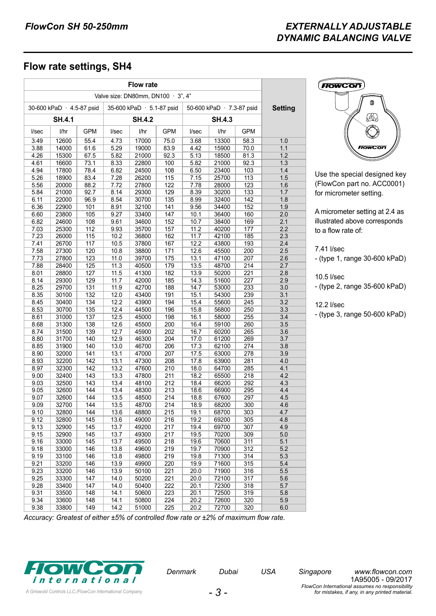| Valve size: DN80mm, DN100 · 3", 4"<br>30-600 kPaD · 4.5-87 psid<br>35-600 kPaD · 5.1-87 psid<br>50-600 kPaD · 7.3-87 psid<br>Setting<br>SH.4.1<br>SH.4.2<br>SH.4.3<br>l/hr<br><b>GPM</b><br><b>GPM</b><br>l/hr<br><b>GPM</b><br>l/hr<br>l/sec<br>l/sec<br>I/sec<br>55.4<br>75.0<br>13300<br>58.3<br>3.49<br>12600<br>4.73<br>17000<br>3.68<br>1.0<br>3.88<br>14000<br>5.29<br>83.9<br>4.42<br>15900<br>70.0<br>61.6<br>19000<br>1.1<br>67.5<br>5.13<br>4.26<br>15300<br>5.82<br>21000<br>92.3<br>18500<br>81.3<br>1.2<br>4.61<br>16600<br>73.1<br>8.33<br>22800<br>100<br>5.82<br>21000<br>92.3<br>1.3<br>4.94<br>78.4<br>6.82<br>24500<br>108<br>103<br>17800<br>6.50<br>23400<br>1.4<br>7.28<br>115<br>5.26<br>18900<br>83.4<br>26200<br>7.15<br>25700<br>113<br>1.5<br>122<br>5.56<br>20000<br>88.2<br>7.72<br>27800<br>7.78<br>28000<br>123<br>1.6<br>21000<br>92.7<br>8.14<br>29300<br>129<br>8.39<br>30200<br>133<br>1.7<br>5.84<br>8.54<br>135<br>8.99<br>142<br>6.11<br>22000<br>96.9<br>30700<br>32400<br>1.8<br>6.36<br>22900<br>101<br>8.91<br>32100<br>141<br>9.56<br>34400<br>152<br>1.9<br>6.60<br>105<br>9.27<br>33400<br>147<br>36400<br>23800<br>10.1<br>160<br>2.0<br>6.82<br>108<br>34600<br>152<br>38400<br>169<br>2.1<br>24600<br>9.61<br>10.7<br>112<br>157<br>7.03<br>9.93<br>35700<br>11.2<br>40200<br>177<br>2.2<br>25300<br>162<br>7.23<br>115<br>10.2<br>36800<br>11.7<br>42100<br>185<br>26000<br>2.3<br>7.41<br>117<br>10.5<br>167<br>12.2<br>43800<br>26700<br>37800<br>193<br>2.4<br>7.58<br>120<br>38800<br>171<br>12.6<br>200<br>27300<br>10.8<br>45500<br>2.5<br>123<br>175<br>7.73<br>11.0<br>39700<br>13.1<br>47100<br>207<br>27800<br>2.6<br>179<br>125<br>11.3<br>40500<br>13.5<br>48700<br>7.88<br>28400<br>214<br>2.7<br>127<br>8.01<br>28800<br>11.5<br>41300<br>182<br>13.9<br>50200<br>221<br>2.8<br>8.14<br>129<br>11.7<br>42000<br>185<br>51600<br>227<br>2.9<br>29300<br>14.3<br>8.25<br>131<br>11.9<br>188<br>14.7<br>233<br>29700<br>42700<br>53000<br>3.0<br>8.35<br>132<br>191<br>30100<br>12.0<br>43400<br>15.1<br>54300<br>239<br>3.1<br>8.45<br>30400<br>134<br>12.2<br>43900<br>194<br>15.4<br>55600<br>245<br>3.2<br>8.53<br>30700<br>135<br>12.4<br>44500<br>196<br>15.8<br>250<br>56800<br>3.3<br>137<br>12.5<br>198<br>8.61<br>31000<br>45000<br>16.1<br>58000<br>255<br>3.4<br>138<br>12.6<br>8.68<br>31300<br>45500<br>200<br>16.4<br>59100<br>260<br>3.5<br>8.74<br>31500<br>139<br>12.7<br>45900<br>202<br>16.7<br>60200<br>265<br>3.6<br>8.80<br>140<br>12.9<br>204<br>31700<br>46300<br>17.0<br>61200<br>269<br>3.7<br>17.3<br>274<br>8.85<br>31900<br>140<br>13.0<br>46700<br>206<br>62100<br>3.8<br>8.90<br>141<br>13.1<br>47000<br>207<br>17.5<br>3.9<br>32000<br>63000<br>278<br>8.93<br>32200<br>142<br>13.1<br>47300<br>208<br>281<br>17.8<br>63900<br>4.0<br>13.2<br>210<br>8.97<br>142<br>18.0<br>64700<br>285<br>4.1<br>32300<br>47600<br>211<br>9.00<br>32400<br>143<br>13.3<br>47800<br>18.2<br>65500<br>218<br>4.2<br>9.03<br>143<br>13.4<br>48100<br>212<br>66200<br>292<br>32500<br>18.4<br>4.3<br>9.05<br>144<br>13.4<br>48300<br>213<br>295<br>32600<br>18.6<br>66900<br>4.4<br>144<br>13.5<br>214<br>9.07<br>48500<br>67600<br>297<br>32600<br>18.8<br>4.5<br>144<br>13.5<br>48700<br>214<br>9.09<br>32700<br>18.9<br>68200<br>300<br>4.6<br>9.10<br>32800<br>144<br>13.6<br>48800<br>215<br>19.1<br>68700<br>303<br>4.7<br>9.12<br>145<br>13.6<br>49000<br>216<br>19.2<br>305<br>32800<br>69200<br>4.8<br>9.13<br>145<br>13.7<br>49200<br>217<br>19.4<br>307<br>32900<br>69700<br>4.9<br>217<br>9.15<br>32900<br>145<br>13.7<br>49300<br>19.5<br>70200<br>309<br>5.0<br>9.16<br>145<br>13.7<br>49500<br>218<br>19.6<br>70600<br>33000<br>311<br>5.1<br>9.18<br>146<br>13.8<br>49600<br>219<br>19.7<br>312<br>5.2<br>33000<br>70900<br>9.19<br>13.8<br>219<br>33100<br>146<br>49800<br>19.8<br>71300<br>314<br>5.3<br>13.9<br>220<br>9.21<br>33200<br>146<br>49900<br>19.9<br>71600<br>315<br>5.4<br>9.23<br>33200<br>146<br>13.9<br>50100<br>221<br>20.0<br>71900<br>316<br>5.5<br>9.25<br>147<br>14.0<br>50200<br>221<br>33300<br>20.0<br>72100<br>317<br>5.6<br>14.0<br>222<br>72300<br>9.28<br>33400<br>147<br>50400<br>20.1<br>318<br>5.7<br>9.31<br>148<br>14.1<br>223<br>5.8<br>33500<br>50600<br>20.1<br>72500<br>319<br>9.34<br>33600<br>148<br>50800<br>224<br>72600<br>14.1<br>20.2<br>320<br>5.9<br>149<br>225<br>9.38<br>14.2<br>51000<br>20.2<br>72700<br>320<br>6.0<br>33800 | <b>Flow rate</b> |  |  |  |  |  |  |  |  |  |
|------------------------------------------------------------------------------------------------------------------------------------------------------------------------------------------------------------------------------------------------------------------------------------------------------------------------------------------------------------------------------------------------------------------------------------------------------------------------------------------------------------------------------------------------------------------------------------------------------------------------------------------------------------------------------------------------------------------------------------------------------------------------------------------------------------------------------------------------------------------------------------------------------------------------------------------------------------------------------------------------------------------------------------------------------------------------------------------------------------------------------------------------------------------------------------------------------------------------------------------------------------------------------------------------------------------------------------------------------------------------------------------------------------------------------------------------------------------------------------------------------------------------------------------------------------------------------------------------------------------------------------------------------------------------------------------------------------------------------------------------------------------------------------------------------------------------------------------------------------------------------------------------------------------------------------------------------------------------------------------------------------------------------------------------------------------------------------------------------------------------------------------------------------------------------------------------------------------------------------------------------------------------------------------------------------------------------------------------------------------------------------------------------------------------------------------------------------------------------------------------------------------------------------------------------------------------------------------------------------------------------------------------------------------------------------------------------------------------------------------------------------------------------------------------------------------------------------------------------------------------------------------------------------------------------------------------------------------------------------------------------------------------------------------------------------------------------------------------------------------------------------------------------------------------------------------------------------------------------------------------------------------------------------------------------------------------------------------------------------------------------------------------------------------------------------------------------------------------------------------------------------------------------------------------------------------------------------------------------------------------------------------------------------------------------------------------------------------------------------------------------------------------------------------------------------------------------------------------------------------------------------------------------------------------------------------------------------------------------------------------------------------------------------------------------------------------------------------------------------------------------------------------------------------------------------------------------------------------------------------------------------------------------------------------------------------------------------------------------------------------------------------------------------------------------------------------------------------------------|------------------|--|--|--|--|--|--|--|--|--|
|                                                                                                                                                                                                                                                                                                                                                                                                                                                                                                                                                                                                                                                                                                                                                                                                                                                                                                                                                                                                                                                                                                                                                                                                                                                                                                                                                                                                                                                                                                                                                                                                                                                                                                                                                                                                                                                                                                                                                                                                                                                                                                                                                                                                                                                                                                                                                                                                                                                                                                                                                                                                                                                                                                                                                                                                                                                                                                                                                                                                                                                                                                                                                                                                                                                                                                                                                                                                                                                                                                                                                                                                                                                                                                                                                                                                                                                                                                                                                                                                                                                                                                                                                                                                                                                                                                                                                                                                                                                                              |                  |  |  |  |  |  |  |  |  |  |
|                                                                                                                                                                                                                                                                                                                                                                                                                                                                                                                                                                                                                                                                                                                                                                                                                                                                                                                                                                                                                                                                                                                                                                                                                                                                                                                                                                                                                                                                                                                                                                                                                                                                                                                                                                                                                                                                                                                                                                                                                                                                                                                                                                                                                                                                                                                                                                                                                                                                                                                                                                                                                                                                                                                                                                                                                                                                                                                                                                                                                                                                                                                                                                                                                                                                                                                                                                                                                                                                                                                                                                                                                                                                                                                                                                                                                                                                                                                                                                                                                                                                                                                                                                                                                                                                                                                                                                                                                                                                              |                  |  |  |  |  |  |  |  |  |  |
|                                                                                                                                                                                                                                                                                                                                                                                                                                                                                                                                                                                                                                                                                                                                                                                                                                                                                                                                                                                                                                                                                                                                                                                                                                                                                                                                                                                                                                                                                                                                                                                                                                                                                                                                                                                                                                                                                                                                                                                                                                                                                                                                                                                                                                                                                                                                                                                                                                                                                                                                                                                                                                                                                                                                                                                                                                                                                                                                                                                                                                                                                                                                                                                                                                                                                                                                                                                                                                                                                                                                                                                                                                                                                                                                                                                                                                                                                                                                                                                                                                                                                                                                                                                                                                                                                                                                                                                                                                                                              |                  |  |  |  |  |  |  |  |  |  |
|                                                                                                                                                                                                                                                                                                                                                                                                                                                                                                                                                                                                                                                                                                                                                                                                                                                                                                                                                                                                                                                                                                                                                                                                                                                                                                                                                                                                                                                                                                                                                                                                                                                                                                                                                                                                                                                                                                                                                                                                                                                                                                                                                                                                                                                                                                                                                                                                                                                                                                                                                                                                                                                                                                                                                                                                                                                                                                                                                                                                                                                                                                                                                                                                                                                                                                                                                                                                                                                                                                                                                                                                                                                                                                                                                                                                                                                                                                                                                                                                                                                                                                                                                                                                                                                                                                                                                                                                                                                                              |                  |  |  |  |  |  |  |  |  |  |
|                                                                                                                                                                                                                                                                                                                                                                                                                                                                                                                                                                                                                                                                                                                                                                                                                                                                                                                                                                                                                                                                                                                                                                                                                                                                                                                                                                                                                                                                                                                                                                                                                                                                                                                                                                                                                                                                                                                                                                                                                                                                                                                                                                                                                                                                                                                                                                                                                                                                                                                                                                                                                                                                                                                                                                                                                                                                                                                                                                                                                                                                                                                                                                                                                                                                                                                                                                                                                                                                                                                                                                                                                                                                                                                                                                                                                                                                                                                                                                                                                                                                                                                                                                                                                                                                                                                                                                                                                                                                              |                  |  |  |  |  |  |  |  |  |  |
|                                                                                                                                                                                                                                                                                                                                                                                                                                                                                                                                                                                                                                                                                                                                                                                                                                                                                                                                                                                                                                                                                                                                                                                                                                                                                                                                                                                                                                                                                                                                                                                                                                                                                                                                                                                                                                                                                                                                                                                                                                                                                                                                                                                                                                                                                                                                                                                                                                                                                                                                                                                                                                                                                                                                                                                                                                                                                                                                                                                                                                                                                                                                                                                                                                                                                                                                                                                                                                                                                                                                                                                                                                                                                                                                                                                                                                                                                                                                                                                                                                                                                                                                                                                                                                                                                                                                                                                                                                                                              |                  |  |  |  |  |  |  |  |  |  |
|                                                                                                                                                                                                                                                                                                                                                                                                                                                                                                                                                                                                                                                                                                                                                                                                                                                                                                                                                                                                                                                                                                                                                                                                                                                                                                                                                                                                                                                                                                                                                                                                                                                                                                                                                                                                                                                                                                                                                                                                                                                                                                                                                                                                                                                                                                                                                                                                                                                                                                                                                                                                                                                                                                                                                                                                                                                                                                                                                                                                                                                                                                                                                                                                                                                                                                                                                                                                                                                                                                                                                                                                                                                                                                                                                                                                                                                                                                                                                                                                                                                                                                                                                                                                                                                                                                                                                                                                                                                                              |                  |  |  |  |  |  |  |  |  |  |
|                                                                                                                                                                                                                                                                                                                                                                                                                                                                                                                                                                                                                                                                                                                                                                                                                                                                                                                                                                                                                                                                                                                                                                                                                                                                                                                                                                                                                                                                                                                                                                                                                                                                                                                                                                                                                                                                                                                                                                                                                                                                                                                                                                                                                                                                                                                                                                                                                                                                                                                                                                                                                                                                                                                                                                                                                                                                                                                                                                                                                                                                                                                                                                                                                                                                                                                                                                                                                                                                                                                                                                                                                                                                                                                                                                                                                                                                                                                                                                                                                                                                                                                                                                                                                                                                                                                                                                                                                                                                              |                  |  |  |  |  |  |  |  |  |  |
|                                                                                                                                                                                                                                                                                                                                                                                                                                                                                                                                                                                                                                                                                                                                                                                                                                                                                                                                                                                                                                                                                                                                                                                                                                                                                                                                                                                                                                                                                                                                                                                                                                                                                                                                                                                                                                                                                                                                                                                                                                                                                                                                                                                                                                                                                                                                                                                                                                                                                                                                                                                                                                                                                                                                                                                                                                                                                                                                                                                                                                                                                                                                                                                                                                                                                                                                                                                                                                                                                                                                                                                                                                                                                                                                                                                                                                                                                                                                                                                                                                                                                                                                                                                                                                                                                                                                                                                                                                                                              |                  |  |  |  |  |  |  |  |  |  |
|                                                                                                                                                                                                                                                                                                                                                                                                                                                                                                                                                                                                                                                                                                                                                                                                                                                                                                                                                                                                                                                                                                                                                                                                                                                                                                                                                                                                                                                                                                                                                                                                                                                                                                                                                                                                                                                                                                                                                                                                                                                                                                                                                                                                                                                                                                                                                                                                                                                                                                                                                                                                                                                                                                                                                                                                                                                                                                                                                                                                                                                                                                                                                                                                                                                                                                                                                                                                                                                                                                                                                                                                                                                                                                                                                                                                                                                                                                                                                                                                                                                                                                                                                                                                                                                                                                                                                                                                                                                                              |                  |  |  |  |  |  |  |  |  |  |
|                                                                                                                                                                                                                                                                                                                                                                                                                                                                                                                                                                                                                                                                                                                                                                                                                                                                                                                                                                                                                                                                                                                                                                                                                                                                                                                                                                                                                                                                                                                                                                                                                                                                                                                                                                                                                                                                                                                                                                                                                                                                                                                                                                                                                                                                                                                                                                                                                                                                                                                                                                                                                                                                                                                                                                                                                                                                                                                                                                                                                                                                                                                                                                                                                                                                                                                                                                                                                                                                                                                                                                                                                                                                                                                                                                                                                                                                                                                                                                                                                                                                                                                                                                                                                                                                                                                                                                                                                                                                              |                  |  |  |  |  |  |  |  |  |  |
|                                                                                                                                                                                                                                                                                                                                                                                                                                                                                                                                                                                                                                                                                                                                                                                                                                                                                                                                                                                                                                                                                                                                                                                                                                                                                                                                                                                                                                                                                                                                                                                                                                                                                                                                                                                                                                                                                                                                                                                                                                                                                                                                                                                                                                                                                                                                                                                                                                                                                                                                                                                                                                                                                                                                                                                                                                                                                                                                                                                                                                                                                                                                                                                                                                                                                                                                                                                                                                                                                                                                                                                                                                                                                                                                                                                                                                                                                                                                                                                                                                                                                                                                                                                                                                                                                                                                                                                                                                                                              |                  |  |  |  |  |  |  |  |  |  |
|                                                                                                                                                                                                                                                                                                                                                                                                                                                                                                                                                                                                                                                                                                                                                                                                                                                                                                                                                                                                                                                                                                                                                                                                                                                                                                                                                                                                                                                                                                                                                                                                                                                                                                                                                                                                                                                                                                                                                                                                                                                                                                                                                                                                                                                                                                                                                                                                                                                                                                                                                                                                                                                                                                                                                                                                                                                                                                                                                                                                                                                                                                                                                                                                                                                                                                                                                                                                                                                                                                                                                                                                                                                                                                                                                                                                                                                                                                                                                                                                                                                                                                                                                                                                                                                                                                                                                                                                                                                                              |                  |  |  |  |  |  |  |  |  |  |
|                                                                                                                                                                                                                                                                                                                                                                                                                                                                                                                                                                                                                                                                                                                                                                                                                                                                                                                                                                                                                                                                                                                                                                                                                                                                                                                                                                                                                                                                                                                                                                                                                                                                                                                                                                                                                                                                                                                                                                                                                                                                                                                                                                                                                                                                                                                                                                                                                                                                                                                                                                                                                                                                                                                                                                                                                                                                                                                                                                                                                                                                                                                                                                                                                                                                                                                                                                                                                                                                                                                                                                                                                                                                                                                                                                                                                                                                                                                                                                                                                                                                                                                                                                                                                                                                                                                                                                                                                                                                              |                  |  |  |  |  |  |  |  |  |  |
|                                                                                                                                                                                                                                                                                                                                                                                                                                                                                                                                                                                                                                                                                                                                                                                                                                                                                                                                                                                                                                                                                                                                                                                                                                                                                                                                                                                                                                                                                                                                                                                                                                                                                                                                                                                                                                                                                                                                                                                                                                                                                                                                                                                                                                                                                                                                                                                                                                                                                                                                                                                                                                                                                                                                                                                                                                                                                                                                                                                                                                                                                                                                                                                                                                                                                                                                                                                                                                                                                                                                                                                                                                                                                                                                                                                                                                                                                                                                                                                                                                                                                                                                                                                                                                                                                                                                                                                                                                                                              |                  |  |  |  |  |  |  |  |  |  |
|                                                                                                                                                                                                                                                                                                                                                                                                                                                                                                                                                                                                                                                                                                                                                                                                                                                                                                                                                                                                                                                                                                                                                                                                                                                                                                                                                                                                                                                                                                                                                                                                                                                                                                                                                                                                                                                                                                                                                                                                                                                                                                                                                                                                                                                                                                                                                                                                                                                                                                                                                                                                                                                                                                                                                                                                                                                                                                                                                                                                                                                                                                                                                                                                                                                                                                                                                                                                                                                                                                                                                                                                                                                                                                                                                                                                                                                                                                                                                                                                                                                                                                                                                                                                                                                                                                                                                                                                                                                                              |                  |  |  |  |  |  |  |  |  |  |
|                                                                                                                                                                                                                                                                                                                                                                                                                                                                                                                                                                                                                                                                                                                                                                                                                                                                                                                                                                                                                                                                                                                                                                                                                                                                                                                                                                                                                                                                                                                                                                                                                                                                                                                                                                                                                                                                                                                                                                                                                                                                                                                                                                                                                                                                                                                                                                                                                                                                                                                                                                                                                                                                                                                                                                                                                                                                                                                                                                                                                                                                                                                                                                                                                                                                                                                                                                                                                                                                                                                                                                                                                                                                                                                                                                                                                                                                                                                                                                                                                                                                                                                                                                                                                                                                                                                                                                                                                                                                              |                  |  |  |  |  |  |  |  |  |  |
|                                                                                                                                                                                                                                                                                                                                                                                                                                                                                                                                                                                                                                                                                                                                                                                                                                                                                                                                                                                                                                                                                                                                                                                                                                                                                                                                                                                                                                                                                                                                                                                                                                                                                                                                                                                                                                                                                                                                                                                                                                                                                                                                                                                                                                                                                                                                                                                                                                                                                                                                                                                                                                                                                                                                                                                                                                                                                                                                                                                                                                                                                                                                                                                                                                                                                                                                                                                                                                                                                                                                                                                                                                                                                                                                                                                                                                                                                                                                                                                                                                                                                                                                                                                                                                                                                                                                                                                                                                                                              |                  |  |  |  |  |  |  |  |  |  |
|                                                                                                                                                                                                                                                                                                                                                                                                                                                                                                                                                                                                                                                                                                                                                                                                                                                                                                                                                                                                                                                                                                                                                                                                                                                                                                                                                                                                                                                                                                                                                                                                                                                                                                                                                                                                                                                                                                                                                                                                                                                                                                                                                                                                                                                                                                                                                                                                                                                                                                                                                                                                                                                                                                                                                                                                                                                                                                                                                                                                                                                                                                                                                                                                                                                                                                                                                                                                                                                                                                                                                                                                                                                                                                                                                                                                                                                                                                                                                                                                                                                                                                                                                                                                                                                                                                                                                                                                                                                                              |                  |  |  |  |  |  |  |  |  |  |
|                                                                                                                                                                                                                                                                                                                                                                                                                                                                                                                                                                                                                                                                                                                                                                                                                                                                                                                                                                                                                                                                                                                                                                                                                                                                                                                                                                                                                                                                                                                                                                                                                                                                                                                                                                                                                                                                                                                                                                                                                                                                                                                                                                                                                                                                                                                                                                                                                                                                                                                                                                                                                                                                                                                                                                                                                                                                                                                                                                                                                                                                                                                                                                                                                                                                                                                                                                                                                                                                                                                                                                                                                                                                                                                                                                                                                                                                                                                                                                                                                                                                                                                                                                                                                                                                                                                                                                                                                                                                              |                  |  |  |  |  |  |  |  |  |  |
|                                                                                                                                                                                                                                                                                                                                                                                                                                                                                                                                                                                                                                                                                                                                                                                                                                                                                                                                                                                                                                                                                                                                                                                                                                                                                                                                                                                                                                                                                                                                                                                                                                                                                                                                                                                                                                                                                                                                                                                                                                                                                                                                                                                                                                                                                                                                                                                                                                                                                                                                                                                                                                                                                                                                                                                                                                                                                                                                                                                                                                                                                                                                                                                                                                                                                                                                                                                                                                                                                                                                                                                                                                                                                                                                                                                                                                                                                                                                                                                                                                                                                                                                                                                                                                                                                                                                                                                                                                                                              |                  |  |  |  |  |  |  |  |  |  |
|                                                                                                                                                                                                                                                                                                                                                                                                                                                                                                                                                                                                                                                                                                                                                                                                                                                                                                                                                                                                                                                                                                                                                                                                                                                                                                                                                                                                                                                                                                                                                                                                                                                                                                                                                                                                                                                                                                                                                                                                                                                                                                                                                                                                                                                                                                                                                                                                                                                                                                                                                                                                                                                                                                                                                                                                                                                                                                                                                                                                                                                                                                                                                                                                                                                                                                                                                                                                                                                                                                                                                                                                                                                                                                                                                                                                                                                                                                                                                                                                                                                                                                                                                                                                                                                                                                                                                                                                                                                                              |                  |  |  |  |  |  |  |  |  |  |
|                                                                                                                                                                                                                                                                                                                                                                                                                                                                                                                                                                                                                                                                                                                                                                                                                                                                                                                                                                                                                                                                                                                                                                                                                                                                                                                                                                                                                                                                                                                                                                                                                                                                                                                                                                                                                                                                                                                                                                                                                                                                                                                                                                                                                                                                                                                                                                                                                                                                                                                                                                                                                                                                                                                                                                                                                                                                                                                                                                                                                                                                                                                                                                                                                                                                                                                                                                                                                                                                                                                                                                                                                                                                                                                                                                                                                                                                                                                                                                                                                                                                                                                                                                                                                                                                                                                                                                                                                                                                              |                  |  |  |  |  |  |  |  |  |  |
|                                                                                                                                                                                                                                                                                                                                                                                                                                                                                                                                                                                                                                                                                                                                                                                                                                                                                                                                                                                                                                                                                                                                                                                                                                                                                                                                                                                                                                                                                                                                                                                                                                                                                                                                                                                                                                                                                                                                                                                                                                                                                                                                                                                                                                                                                                                                                                                                                                                                                                                                                                                                                                                                                                                                                                                                                                                                                                                                                                                                                                                                                                                                                                                                                                                                                                                                                                                                                                                                                                                                                                                                                                                                                                                                                                                                                                                                                                                                                                                                                                                                                                                                                                                                                                                                                                                                                                                                                                                                              |                  |  |  |  |  |  |  |  |  |  |
|                                                                                                                                                                                                                                                                                                                                                                                                                                                                                                                                                                                                                                                                                                                                                                                                                                                                                                                                                                                                                                                                                                                                                                                                                                                                                                                                                                                                                                                                                                                                                                                                                                                                                                                                                                                                                                                                                                                                                                                                                                                                                                                                                                                                                                                                                                                                                                                                                                                                                                                                                                                                                                                                                                                                                                                                                                                                                                                                                                                                                                                                                                                                                                                                                                                                                                                                                                                                                                                                                                                                                                                                                                                                                                                                                                                                                                                                                                                                                                                                                                                                                                                                                                                                                                                                                                                                                                                                                                                                              |                  |  |  |  |  |  |  |  |  |  |
|                                                                                                                                                                                                                                                                                                                                                                                                                                                                                                                                                                                                                                                                                                                                                                                                                                                                                                                                                                                                                                                                                                                                                                                                                                                                                                                                                                                                                                                                                                                                                                                                                                                                                                                                                                                                                                                                                                                                                                                                                                                                                                                                                                                                                                                                                                                                                                                                                                                                                                                                                                                                                                                                                                                                                                                                                                                                                                                                                                                                                                                                                                                                                                                                                                                                                                                                                                                                                                                                                                                                                                                                                                                                                                                                                                                                                                                                                                                                                                                                                                                                                                                                                                                                                                                                                                                                                                                                                                                                              |                  |  |  |  |  |  |  |  |  |  |
|                                                                                                                                                                                                                                                                                                                                                                                                                                                                                                                                                                                                                                                                                                                                                                                                                                                                                                                                                                                                                                                                                                                                                                                                                                                                                                                                                                                                                                                                                                                                                                                                                                                                                                                                                                                                                                                                                                                                                                                                                                                                                                                                                                                                                                                                                                                                                                                                                                                                                                                                                                                                                                                                                                                                                                                                                                                                                                                                                                                                                                                                                                                                                                                                                                                                                                                                                                                                                                                                                                                                                                                                                                                                                                                                                                                                                                                                                                                                                                                                                                                                                                                                                                                                                                                                                                                                                                                                                                                                              |                  |  |  |  |  |  |  |  |  |  |
|                                                                                                                                                                                                                                                                                                                                                                                                                                                                                                                                                                                                                                                                                                                                                                                                                                                                                                                                                                                                                                                                                                                                                                                                                                                                                                                                                                                                                                                                                                                                                                                                                                                                                                                                                                                                                                                                                                                                                                                                                                                                                                                                                                                                                                                                                                                                                                                                                                                                                                                                                                                                                                                                                                                                                                                                                                                                                                                                                                                                                                                                                                                                                                                                                                                                                                                                                                                                                                                                                                                                                                                                                                                                                                                                                                                                                                                                                                                                                                                                                                                                                                                                                                                                                                                                                                                                                                                                                                                                              |                  |  |  |  |  |  |  |  |  |  |
|                                                                                                                                                                                                                                                                                                                                                                                                                                                                                                                                                                                                                                                                                                                                                                                                                                                                                                                                                                                                                                                                                                                                                                                                                                                                                                                                                                                                                                                                                                                                                                                                                                                                                                                                                                                                                                                                                                                                                                                                                                                                                                                                                                                                                                                                                                                                                                                                                                                                                                                                                                                                                                                                                                                                                                                                                                                                                                                                                                                                                                                                                                                                                                                                                                                                                                                                                                                                                                                                                                                                                                                                                                                                                                                                                                                                                                                                                                                                                                                                                                                                                                                                                                                                                                                                                                                                                                                                                                                                              |                  |  |  |  |  |  |  |  |  |  |
|                                                                                                                                                                                                                                                                                                                                                                                                                                                                                                                                                                                                                                                                                                                                                                                                                                                                                                                                                                                                                                                                                                                                                                                                                                                                                                                                                                                                                                                                                                                                                                                                                                                                                                                                                                                                                                                                                                                                                                                                                                                                                                                                                                                                                                                                                                                                                                                                                                                                                                                                                                                                                                                                                                                                                                                                                                                                                                                                                                                                                                                                                                                                                                                                                                                                                                                                                                                                                                                                                                                                                                                                                                                                                                                                                                                                                                                                                                                                                                                                                                                                                                                                                                                                                                                                                                                                                                                                                                                                              |                  |  |  |  |  |  |  |  |  |  |
|                                                                                                                                                                                                                                                                                                                                                                                                                                                                                                                                                                                                                                                                                                                                                                                                                                                                                                                                                                                                                                                                                                                                                                                                                                                                                                                                                                                                                                                                                                                                                                                                                                                                                                                                                                                                                                                                                                                                                                                                                                                                                                                                                                                                                                                                                                                                                                                                                                                                                                                                                                                                                                                                                                                                                                                                                                                                                                                                                                                                                                                                                                                                                                                                                                                                                                                                                                                                                                                                                                                                                                                                                                                                                                                                                                                                                                                                                                                                                                                                                                                                                                                                                                                                                                                                                                                                                                                                                                                                              |                  |  |  |  |  |  |  |  |  |  |
|                                                                                                                                                                                                                                                                                                                                                                                                                                                                                                                                                                                                                                                                                                                                                                                                                                                                                                                                                                                                                                                                                                                                                                                                                                                                                                                                                                                                                                                                                                                                                                                                                                                                                                                                                                                                                                                                                                                                                                                                                                                                                                                                                                                                                                                                                                                                                                                                                                                                                                                                                                                                                                                                                                                                                                                                                                                                                                                                                                                                                                                                                                                                                                                                                                                                                                                                                                                                                                                                                                                                                                                                                                                                                                                                                                                                                                                                                                                                                                                                                                                                                                                                                                                                                                                                                                                                                                                                                                                                              |                  |  |  |  |  |  |  |  |  |  |
|                                                                                                                                                                                                                                                                                                                                                                                                                                                                                                                                                                                                                                                                                                                                                                                                                                                                                                                                                                                                                                                                                                                                                                                                                                                                                                                                                                                                                                                                                                                                                                                                                                                                                                                                                                                                                                                                                                                                                                                                                                                                                                                                                                                                                                                                                                                                                                                                                                                                                                                                                                                                                                                                                                                                                                                                                                                                                                                                                                                                                                                                                                                                                                                                                                                                                                                                                                                                                                                                                                                                                                                                                                                                                                                                                                                                                                                                                                                                                                                                                                                                                                                                                                                                                                                                                                                                                                                                                                                                              |                  |  |  |  |  |  |  |  |  |  |
|                                                                                                                                                                                                                                                                                                                                                                                                                                                                                                                                                                                                                                                                                                                                                                                                                                                                                                                                                                                                                                                                                                                                                                                                                                                                                                                                                                                                                                                                                                                                                                                                                                                                                                                                                                                                                                                                                                                                                                                                                                                                                                                                                                                                                                                                                                                                                                                                                                                                                                                                                                                                                                                                                                                                                                                                                                                                                                                                                                                                                                                                                                                                                                                                                                                                                                                                                                                                                                                                                                                                                                                                                                                                                                                                                                                                                                                                                                                                                                                                                                                                                                                                                                                                                                                                                                                                                                                                                                                                              |                  |  |  |  |  |  |  |  |  |  |
|                                                                                                                                                                                                                                                                                                                                                                                                                                                                                                                                                                                                                                                                                                                                                                                                                                                                                                                                                                                                                                                                                                                                                                                                                                                                                                                                                                                                                                                                                                                                                                                                                                                                                                                                                                                                                                                                                                                                                                                                                                                                                                                                                                                                                                                                                                                                                                                                                                                                                                                                                                                                                                                                                                                                                                                                                                                                                                                                                                                                                                                                                                                                                                                                                                                                                                                                                                                                                                                                                                                                                                                                                                                                                                                                                                                                                                                                                                                                                                                                                                                                                                                                                                                                                                                                                                                                                                                                                                                                              |                  |  |  |  |  |  |  |  |  |  |
|                                                                                                                                                                                                                                                                                                                                                                                                                                                                                                                                                                                                                                                                                                                                                                                                                                                                                                                                                                                                                                                                                                                                                                                                                                                                                                                                                                                                                                                                                                                                                                                                                                                                                                                                                                                                                                                                                                                                                                                                                                                                                                                                                                                                                                                                                                                                                                                                                                                                                                                                                                                                                                                                                                                                                                                                                                                                                                                                                                                                                                                                                                                                                                                                                                                                                                                                                                                                                                                                                                                                                                                                                                                                                                                                                                                                                                                                                                                                                                                                                                                                                                                                                                                                                                                                                                                                                                                                                                                                              |                  |  |  |  |  |  |  |  |  |  |
|                                                                                                                                                                                                                                                                                                                                                                                                                                                                                                                                                                                                                                                                                                                                                                                                                                                                                                                                                                                                                                                                                                                                                                                                                                                                                                                                                                                                                                                                                                                                                                                                                                                                                                                                                                                                                                                                                                                                                                                                                                                                                                                                                                                                                                                                                                                                                                                                                                                                                                                                                                                                                                                                                                                                                                                                                                                                                                                                                                                                                                                                                                                                                                                                                                                                                                                                                                                                                                                                                                                                                                                                                                                                                                                                                                                                                                                                                                                                                                                                                                                                                                                                                                                                                                                                                                                                                                                                                                                                              |                  |  |  |  |  |  |  |  |  |  |
|                                                                                                                                                                                                                                                                                                                                                                                                                                                                                                                                                                                                                                                                                                                                                                                                                                                                                                                                                                                                                                                                                                                                                                                                                                                                                                                                                                                                                                                                                                                                                                                                                                                                                                                                                                                                                                                                                                                                                                                                                                                                                                                                                                                                                                                                                                                                                                                                                                                                                                                                                                                                                                                                                                                                                                                                                                                                                                                                                                                                                                                                                                                                                                                                                                                                                                                                                                                                                                                                                                                                                                                                                                                                                                                                                                                                                                                                                                                                                                                                                                                                                                                                                                                                                                                                                                                                                                                                                                                                              |                  |  |  |  |  |  |  |  |  |  |
|                                                                                                                                                                                                                                                                                                                                                                                                                                                                                                                                                                                                                                                                                                                                                                                                                                                                                                                                                                                                                                                                                                                                                                                                                                                                                                                                                                                                                                                                                                                                                                                                                                                                                                                                                                                                                                                                                                                                                                                                                                                                                                                                                                                                                                                                                                                                                                                                                                                                                                                                                                                                                                                                                                                                                                                                                                                                                                                                                                                                                                                                                                                                                                                                                                                                                                                                                                                                                                                                                                                                                                                                                                                                                                                                                                                                                                                                                                                                                                                                                                                                                                                                                                                                                                                                                                                                                                                                                                                                              |                  |  |  |  |  |  |  |  |  |  |
|                                                                                                                                                                                                                                                                                                                                                                                                                                                                                                                                                                                                                                                                                                                                                                                                                                                                                                                                                                                                                                                                                                                                                                                                                                                                                                                                                                                                                                                                                                                                                                                                                                                                                                                                                                                                                                                                                                                                                                                                                                                                                                                                                                                                                                                                                                                                                                                                                                                                                                                                                                                                                                                                                                                                                                                                                                                                                                                                                                                                                                                                                                                                                                                                                                                                                                                                                                                                                                                                                                                                                                                                                                                                                                                                                                                                                                                                                                                                                                                                                                                                                                                                                                                                                                                                                                                                                                                                                                                                              |                  |  |  |  |  |  |  |  |  |  |
|                                                                                                                                                                                                                                                                                                                                                                                                                                                                                                                                                                                                                                                                                                                                                                                                                                                                                                                                                                                                                                                                                                                                                                                                                                                                                                                                                                                                                                                                                                                                                                                                                                                                                                                                                                                                                                                                                                                                                                                                                                                                                                                                                                                                                                                                                                                                                                                                                                                                                                                                                                                                                                                                                                                                                                                                                                                                                                                                                                                                                                                                                                                                                                                                                                                                                                                                                                                                                                                                                                                                                                                                                                                                                                                                                                                                                                                                                                                                                                                                                                                                                                                                                                                                                                                                                                                                                                                                                                                                              |                  |  |  |  |  |  |  |  |  |  |
|                                                                                                                                                                                                                                                                                                                                                                                                                                                                                                                                                                                                                                                                                                                                                                                                                                                                                                                                                                                                                                                                                                                                                                                                                                                                                                                                                                                                                                                                                                                                                                                                                                                                                                                                                                                                                                                                                                                                                                                                                                                                                                                                                                                                                                                                                                                                                                                                                                                                                                                                                                                                                                                                                                                                                                                                                                                                                                                                                                                                                                                                                                                                                                                                                                                                                                                                                                                                                                                                                                                                                                                                                                                                                                                                                                                                                                                                                                                                                                                                                                                                                                                                                                                                                                                                                                                                                                                                                                                                              |                  |  |  |  |  |  |  |  |  |  |
|                                                                                                                                                                                                                                                                                                                                                                                                                                                                                                                                                                                                                                                                                                                                                                                                                                                                                                                                                                                                                                                                                                                                                                                                                                                                                                                                                                                                                                                                                                                                                                                                                                                                                                                                                                                                                                                                                                                                                                                                                                                                                                                                                                                                                                                                                                                                                                                                                                                                                                                                                                                                                                                                                                                                                                                                                                                                                                                                                                                                                                                                                                                                                                                                                                                                                                                                                                                                                                                                                                                                                                                                                                                                                                                                                                                                                                                                                                                                                                                                                                                                                                                                                                                                                                                                                                                                                                                                                                                                              |                  |  |  |  |  |  |  |  |  |  |
|                                                                                                                                                                                                                                                                                                                                                                                                                                                                                                                                                                                                                                                                                                                                                                                                                                                                                                                                                                                                                                                                                                                                                                                                                                                                                                                                                                                                                                                                                                                                                                                                                                                                                                                                                                                                                                                                                                                                                                                                                                                                                                                                                                                                                                                                                                                                                                                                                                                                                                                                                                                                                                                                                                                                                                                                                                                                                                                                                                                                                                                                                                                                                                                                                                                                                                                                                                                                                                                                                                                                                                                                                                                                                                                                                                                                                                                                                                                                                                                                                                                                                                                                                                                                                                                                                                                                                                                                                                                                              |                  |  |  |  |  |  |  |  |  |  |
|                                                                                                                                                                                                                                                                                                                                                                                                                                                                                                                                                                                                                                                                                                                                                                                                                                                                                                                                                                                                                                                                                                                                                                                                                                                                                                                                                                                                                                                                                                                                                                                                                                                                                                                                                                                                                                                                                                                                                                                                                                                                                                                                                                                                                                                                                                                                                                                                                                                                                                                                                                                                                                                                                                                                                                                                                                                                                                                                                                                                                                                                                                                                                                                                                                                                                                                                                                                                                                                                                                                                                                                                                                                                                                                                                                                                                                                                                                                                                                                                                                                                                                                                                                                                                                                                                                                                                                                                                                                                              |                  |  |  |  |  |  |  |  |  |  |
|                                                                                                                                                                                                                                                                                                                                                                                                                                                                                                                                                                                                                                                                                                                                                                                                                                                                                                                                                                                                                                                                                                                                                                                                                                                                                                                                                                                                                                                                                                                                                                                                                                                                                                                                                                                                                                                                                                                                                                                                                                                                                                                                                                                                                                                                                                                                                                                                                                                                                                                                                                                                                                                                                                                                                                                                                                                                                                                                                                                                                                                                                                                                                                                                                                                                                                                                                                                                                                                                                                                                                                                                                                                                                                                                                                                                                                                                                                                                                                                                                                                                                                                                                                                                                                                                                                                                                                                                                                                                              |                  |  |  |  |  |  |  |  |  |  |
|                                                                                                                                                                                                                                                                                                                                                                                                                                                                                                                                                                                                                                                                                                                                                                                                                                                                                                                                                                                                                                                                                                                                                                                                                                                                                                                                                                                                                                                                                                                                                                                                                                                                                                                                                                                                                                                                                                                                                                                                                                                                                                                                                                                                                                                                                                                                                                                                                                                                                                                                                                                                                                                                                                                                                                                                                                                                                                                                                                                                                                                                                                                                                                                                                                                                                                                                                                                                                                                                                                                                                                                                                                                                                                                                                                                                                                                                                                                                                                                                                                                                                                                                                                                                                                                                                                                                                                                                                                                                              |                  |  |  |  |  |  |  |  |  |  |
|                                                                                                                                                                                                                                                                                                                                                                                                                                                                                                                                                                                                                                                                                                                                                                                                                                                                                                                                                                                                                                                                                                                                                                                                                                                                                                                                                                                                                                                                                                                                                                                                                                                                                                                                                                                                                                                                                                                                                                                                                                                                                                                                                                                                                                                                                                                                                                                                                                                                                                                                                                                                                                                                                                                                                                                                                                                                                                                                                                                                                                                                                                                                                                                                                                                                                                                                                                                                                                                                                                                                                                                                                                                                                                                                                                                                                                                                                                                                                                                                                                                                                                                                                                                                                                                                                                                                                                                                                                                                              |                  |  |  |  |  |  |  |  |  |  |
|                                                                                                                                                                                                                                                                                                                                                                                                                                                                                                                                                                                                                                                                                                                                                                                                                                                                                                                                                                                                                                                                                                                                                                                                                                                                                                                                                                                                                                                                                                                                                                                                                                                                                                                                                                                                                                                                                                                                                                                                                                                                                                                                                                                                                                                                                                                                                                                                                                                                                                                                                                                                                                                                                                                                                                                                                                                                                                                                                                                                                                                                                                                                                                                                                                                                                                                                                                                                                                                                                                                                                                                                                                                                                                                                                                                                                                                                                                                                                                                                                                                                                                                                                                                                                                                                                                                                                                                                                                                                              |                  |  |  |  |  |  |  |  |  |  |
|                                                                                                                                                                                                                                                                                                                                                                                                                                                                                                                                                                                                                                                                                                                                                                                                                                                                                                                                                                                                                                                                                                                                                                                                                                                                                                                                                                                                                                                                                                                                                                                                                                                                                                                                                                                                                                                                                                                                                                                                                                                                                                                                                                                                                                                                                                                                                                                                                                                                                                                                                                                                                                                                                                                                                                                                                                                                                                                                                                                                                                                                                                                                                                                                                                                                                                                                                                                                                                                                                                                                                                                                                                                                                                                                                                                                                                                                                                                                                                                                                                                                                                                                                                                                                                                                                                                                                                                                                                                                              |                  |  |  |  |  |  |  |  |  |  |
|                                                                                                                                                                                                                                                                                                                                                                                                                                                                                                                                                                                                                                                                                                                                                                                                                                                                                                                                                                                                                                                                                                                                                                                                                                                                                                                                                                                                                                                                                                                                                                                                                                                                                                                                                                                                                                                                                                                                                                                                                                                                                                                                                                                                                                                                                                                                                                                                                                                                                                                                                                                                                                                                                                                                                                                                                                                                                                                                                                                                                                                                                                                                                                                                                                                                                                                                                                                                                                                                                                                                                                                                                                                                                                                                                                                                                                                                                                                                                                                                                                                                                                                                                                                                                                                                                                                                                                                                                                                                              |                  |  |  |  |  |  |  |  |  |  |
|                                                                                                                                                                                                                                                                                                                                                                                                                                                                                                                                                                                                                                                                                                                                                                                                                                                                                                                                                                                                                                                                                                                                                                                                                                                                                                                                                                                                                                                                                                                                                                                                                                                                                                                                                                                                                                                                                                                                                                                                                                                                                                                                                                                                                                                                                                                                                                                                                                                                                                                                                                                                                                                                                                                                                                                                                                                                                                                                                                                                                                                                                                                                                                                                                                                                                                                                                                                                                                                                                                                                                                                                                                                                                                                                                                                                                                                                                                                                                                                                                                                                                                                                                                                                                                                                                                                                                                                                                                                                              |                  |  |  |  |  |  |  |  |  |  |
|                                                                                                                                                                                                                                                                                                                                                                                                                                                                                                                                                                                                                                                                                                                                                                                                                                                                                                                                                                                                                                                                                                                                                                                                                                                                                                                                                                                                                                                                                                                                                                                                                                                                                                                                                                                                                                                                                                                                                                                                                                                                                                                                                                                                                                                                                                                                                                                                                                                                                                                                                                                                                                                                                                                                                                                                                                                                                                                                                                                                                                                                                                                                                                                                                                                                                                                                                                                                                                                                                                                                                                                                                                                                                                                                                                                                                                                                                                                                                                                                                                                                                                                                                                                                                                                                                                                                                                                                                                                                              |                  |  |  |  |  |  |  |  |  |  |
|                                                                                                                                                                                                                                                                                                                                                                                                                                                                                                                                                                                                                                                                                                                                                                                                                                                                                                                                                                                                                                                                                                                                                                                                                                                                                                                                                                                                                                                                                                                                                                                                                                                                                                                                                                                                                                                                                                                                                                                                                                                                                                                                                                                                                                                                                                                                                                                                                                                                                                                                                                                                                                                                                                                                                                                                                                                                                                                                                                                                                                                                                                                                                                                                                                                                                                                                                                                                                                                                                                                                                                                                                                                                                                                                                                                                                                                                                                                                                                                                                                                                                                                                                                                                                                                                                                                                                                                                                                                                              |                  |  |  |  |  |  |  |  |  |  |



Use the special designed key (FlowCon part no. ACC0001) for micrometer setting.

A micrometer setting at 2.4 as illustrated above corresponds to a flow rate of:

7.41 l/sec

- (type 1, range 30-600 kPaD)

10.5 l/sec

- (type 2, range 35-600 kPaD)

12.2 l/sec

- (type 3, range 50-600 kPaD)

*Accuracy: Greatest of either ±5% of controlled flow rate or ±2% of maximum flow rate.*

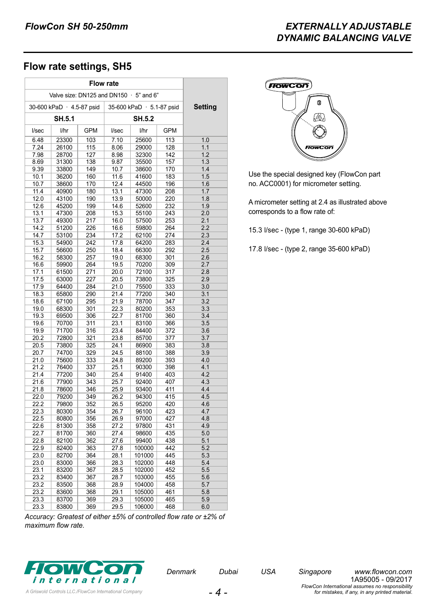| Valve size: DN125 and DN150 · 5" and 6" |                |            |              |                |            |            |
|-----------------------------------------|----------------|------------|--------------|----------------|------------|------------|
| 30-600 kPaD · 4.5-87 psid               | Setting        |            |              |                |            |            |
|                                         | SH.5.1         |            |              | SH.5.2         |            |            |
| l/sec                                   | l/hr           | GPM        | l/sec        | l/hr           | <b>GPM</b> |            |
| 6.48                                    | 23300          | 103        | 7.10         | 25600          | 113        | 1.0        |
| 7.24                                    | 26100          | 115        | 8.06         | 29000          | 128        | 1.1        |
| 7.98                                    | 28700          | 127        | 8.98         | 32300          | 142        | 1.2        |
| 8.69                                    | 31300          | 138        | 9.87         | 35500          | 157        | 1.3        |
| 9.39                                    | 33800          | 149        | 10.7         | 38600          | 170        | 1.4        |
| 10.1                                    | 36200          | 160        | 11.6         | 41600          | 183        | 1.5        |
| 10.7                                    | 38600          | 170        | 12.4         | 44500          | 196        | 1.6        |
| 11.4                                    | 40900          | 180        | 13.1         | 47300          | 208        | 1.7        |
| 12.0                                    | 43100          | 190        | 13.9         | 50000          | 220        | 1.8        |
| 12.6                                    | 45200          | 199        | 14.6         | 52600          | 232        | 1.9        |
| 13.1                                    | 47300          | 208        | 15.3         | 55100          | 243        | 2.0        |
| 13.7                                    | 49300          | 217        | 16.0         | 57500          | 253        | 2.1        |
| 14.2                                    | 51200          | 226        | 16.6         | 59800          | 264        | 2.2        |
| 14.7                                    | 53100          | 234        | 17.2         | 62100          | 274        | 2.3        |
| 15.3                                    | 54900          | 242        | 17.8         | 64200          | 283        | 2.4        |
| 15.7                                    | 56600          | 250        | 18.4         | 66300          | 292        | 2.5        |
| 16.2                                    | 58300          | 257        | 19.0         | 68300          | 301        | 2.6        |
| 16.6                                    | 59900          | 264        | 19.5         | 70200          | 309        | 2.7        |
| 17.1                                    | 61500          | 271        | 20.0         | 72100          | 317        | 2.8        |
| 17.5                                    | 63000          | 227        | 20.5         | 73800          | 325        | 2.9        |
| 17.9                                    | 64400          | 284        | 21.0         | 75500          | 333        | 3.0        |
| 18.3                                    | 65800          | 290        | 21.4         | 77200          | 340        | 3.1        |
| 18.6<br>19.0                            | 67100<br>68300 | 295<br>301 | 21.9<br>22.3 | 78700<br>80200 | 347<br>353 | 3.2<br>3.3 |
| 19.3                                    | 69500          | 306        | 22.7         | 81700          | 360        | 3.4        |
| 19.6                                    | 70700          | 311        | 23.1         | 83100          | 366        | 3.5        |
| 19.9                                    | 71700          | 316        | 23.4         | 84400          | 372        | 3.6        |
| 20.2                                    | 72800          | 321        | 23.8         | 85700          | 377        | 3.7        |
| 20.5                                    | 73800          | 325        | 24.1         | 86900          | 383        | 3.8        |
| 20.7                                    | 74700          | 329        | 24.5         | 88100          | 388        | 3.9        |
| 21.0                                    | 75600          | 333        | 24.8         | 89200          | 393        | 4.0        |
| 21.2                                    | 76400          | 337        | 25.1         | 90300          | 398        | 4.1        |
| 21.4                                    | 77200          | 340        | 25.4         | 91400          | 403        | 4.2        |
| 21.6                                    | 77900          | 343        | 25.7         | 92400          | 407        | 4.3        |
| 21.8                                    | 78600          | 346        | 25.9         | 93400          | 411        | 4.4        |
| 22.0                                    | 79200          | 349        | 26.2         | 94300          | 415        | 4.5        |
| 22.2                                    | 79800          | 352        | 26.5         | 95200          | 420        | 4.6        |
| 22.3                                    | 80300          | 354        | 26.7         | 96100          | 423        | 4.7        |
| 22.5                                    | 80800          | 356        | 26.9         | 97000          | 427        | 4.8        |
| 22.6                                    | 81300          | 358        | 27.2         | 97800          | 431        | 4.9        |
| 22.7                                    | 81700          | 360        | 27.4         | 98600          | 435        | 5.0        |
| 22.8                                    | 82100          | 362        | 27.6         | 99400          | 438        | 5.1        |
| 22.9                                    | 82400          | 363        | 27.8         | 100000         | 442        | 5.2        |
| 23.0                                    | 82700          | 364        | 28.1         | 101000         | 445        | 5.3        |
| 23.0                                    | 83000          | 366        | 28.3         | 102000         | 448        | 5.4        |
| 23.1                                    | 83200          | 367        | 28.5         | 102000         | 452        | 5.5        |
| 23.2                                    | 83400          | 367        | 28.7         | 103000         | 455        | 5.6        |
| 23.2                                    | 83500          | 368        | 28.9         | 104000         | 458        | 5.7        |
| 23.2                                    | 83600          | 368        | 29.1         | 105000         | 461        | 5.8        |
| 23.3                                    | 83700          | 369        | 29.3         | 105000         | 465        | 5.9        |
| 23.3                                    | 83800          | 369        | 29.5         | 106000         | 468        | 6.0        |

*Accuracy: Greatest of either ±5% of controlled flow rate or ±2% of maximum flow rate.*





Use the special designed key (FlowCon part no. ACC0001) for micrometer setting.

A micrometer setting at 2.4 as illustrated above corresponds to a flow rate of:

15.3 l/sec - (type 1, range 30-600 kPaD)

17.8 l/sec - (type 2, range 35-600 kPaD)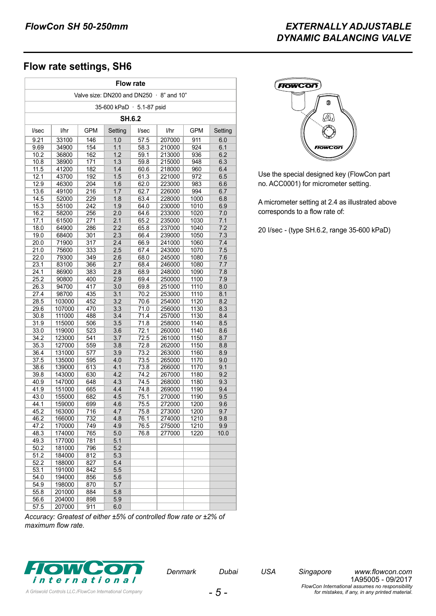| <b>Flow rate</b>                         |        |            |         |       |        |            |         |  |  |
|------------------------------------------|--------|------------|---------|-------|--------|------------|---------|--|--|
| Valve size: DN200 and DN250 · 8" and 10" |        |            |         |       |        |            |         |  |  |
| 35-600 kPaD · 5.1-87 psid                |        |            |         |       |        |            |         |  |  |
| SH.6.2                                   |        |            |         |       |        |            |         |  |  |
| I/sec                                    | l/hr   | <b>GPM</b> | Setting | I/sec | l/hr   | <b>GPM</b> | Setting |  |  |
| 9.21                                     | 33100  | 146        | 1.0     | 57.5  | 207000 | 911        | 6.0     |  |  |
| 9.69                                     | 34900  | 154        | 1.1     | 58.3  | 210000 | 924        | 6.1     |  |  |
| 10.2                                     | 36800  | 162        | 1.2     | 59.1  | 213000 | 936        | 6.2     |  |  |
| 10.8                                     | 38900  | 171        | 1.3     | 59.8  | 215000 | 948        | 6.3     |  |  |
| 11.5                                     | 41200  | 182        | 1.4     | 60.6  | 218000 | 960        | 6.4     |  |  |
| 12.1                                     | 43700  | 192        | 1.5     | 61.3  | 221000 | 972        | 6.5     |  |  |
| 12.9                                     | 46300  | 204        | 1.6     | 62.0  | 223000 | 983        | 6.6     |  |  |
| 13.6                                     | 49100  | 216        | 1.7     | 62.7  | 226000 | 994        | 6.7     |  |  |
| 14.5                                     | 52000  | 229        | 1.8     | 63.4  | 228000 | 1000       | 6.8     |  |  |
| 15.3                                     | 55100  | 242        | 1.9     | 64.0  | 230000 | 1010       | 6.9     |  |  |
| 16.2                                     | 58200  | 256        | 2.0     | 64.6  | 233000 | 1020       | 7.0     |  |  |
| 17.1                                     | 61500  | 271        | 2.1     | 65.2  | 235000 | 1030       | 7.1     |  |  |
| 18.0                                     | 64900  | 286        | 2.2     | 65.8  | 237000 | 1040       | 7.2     |  |  |
| 19.0                                     | 68400  | 301        | 2.3     | 66.4  | 239000 | 1050       | 7.3     |  |  |
| 20.0                                     | 71900  | 317        | 2.4     | 66.9  | 241000 | 1060       | 7.4     |  |  |
| 21.0                                     | 75600  | 333        | 2.5     | 67.4  | 243000 | 1070       | 7.5     |  |  |
| 22.0                                     | 79300  | 349        | 2.6     | 68.0  | 245000 | 1080       | 7.6     |  |  |
| 23.1                                     | 83100  | 366        | 2.7     | 68.4  | 246000 | 1080       | 7.7     |  |  |
| 24.1                                     | 86900  | 383        | 2.8     | 68.9  | 248000 | 1090       | 7.8     |  |  |
| 25.2                                     | 90800  | 400        | 2.9     | 69.4  | 250000 | 1100       | 7.9     |  |  |
| 26.3                                     | 94700  | 417        | 3.0     | 69.8  | 251000 | 1110       | 8.0     |  |  |
| 27.4                                     | 98700  | 435        | 3.1     | 70.2  | 253000 | 1110       | 8.1     |  |  |
| 28.5                                     | 103000 | 452        | 3.2     | 70.6  | 254000 | 1120       | 8.2     |  |  |
| 29.6                                     | 107000 | 470        | 3.3     | 71.0  | 256000 | 1130       | 8.3     |  |  |
| 30.8                                     | 111000 | 488        | 3.4     | 71.4  | 257000 | 1130       | 8.4     |  |  |
| 31.9                                     | 115000 | 506        | 3.5     | 71.8  | 258000 | 1140       | 8.5     |  |  |
| 33.0                                     | 119000 | 523        | 3.6     | 72.1  | 260000 | 1140       | 8.6     |  |  |
| 34.2                                     | 123000 | 541        | 3.7     | 72.5  | 261000 | 1150       | 8.7     |  |  |
| 35.3                                     | 127000 | 559        | 3.8     | 72.8  | 262000 | 1150       | 8.8     |  |  |
| 36.4                                     | 131000 | 577        | 3.9     | 73.2  | 263000 | 1160       | 8.9     |  |  |
| 37.5                                     | 135000 | 595        | 4.0     | 73.5  | 265000 | 1170       | 9.0     |  |  |
| 38.6                                     | 139000 | 613        | 4.1     | 73.8  | 266000 | 1170       | 9.1     |  |  |
| 39.8                                     | 143000 | 630        | 4.2     | 74.2  | 267000 | 1180       | 9.2     |  |  |
| 40.9                                     | 147000 | 648        | 4.3     | 74.5  | 268000 | 1180       | 9.3     |  |  |
| 41.9                                     | 151000 | 665        | 4.4     | 74.8  | 269000 | 1190       | 9.4     |  |  |
| 43.0                                     | 155000 | 682        | 4.5     | 75.1  | 270000 | 1190       | 9.5     |  |  |
| 44.1                                     | 159000 | 699        | 4.6     | 75.5  | 272000 | 1200       | 9.6     |  |  |
| 45.2                                     | 163000 | 716        | 4.7     | 75.8  | 273000 | 1200       | 9.7     |  |  |
| 46.2                                     | 166000 | 732        | 4.8     | 76.1  | 274000 | 1210       | 9.8     |  |  |
| 47.2                                     | 170000 | 749        | 4.9     | 76.5  | 275000 | 1210       | 9.9     |  |  |
| 48.3                                     | 174000 | 765        | 5.0     | 76.8  | 277000 | 1220       | 10.0    |  |  |
| 49.3                                     | 177000 | 781        | 5.1     |       |        |            |         |  |  |
| 50.2                                     | 181000 | 796        | 5.2     |       |        |            |         |  |  |
| 51.2                                     | 184000 | 812        | 5.3     |       |        |            |         |  |  |
| 52.2                                     | 188000 | 827        | 5.4     |       |        |            |         |  |  |
| 53.1                                     | 191000 | 842        | 5.5     |       |        |            |         |  |  |
| 54.0                                     | 194000 | 856        | 5.6     |       |        |            |         |  |  |
| 54.9                                     | 198000 | 870        | 5.7     |       |        |            |         |  |  |
| 55.8                                     | 201000 | 884        | 5.8     |       |        |            |         |  |  |
| 56.6                                     | 204000 | 898        | 5.9     |       |        |            |         |  |  |
| 57.5                                     | 207000 | 911        | 6.0     |       |        |            |         |  |  |

*Accuracy: Greatest of either ±5% of controlled flow rate or ±2% of maximum flow rate.*





Use the special designed key (FlowCon part no. ACC0001) for micrometer setting.

A micrometer setting at 2.4 as illustrated above corresponds to a flow rate of:

20 l/sec - (type SH.6.2, range 35-600 kPaD)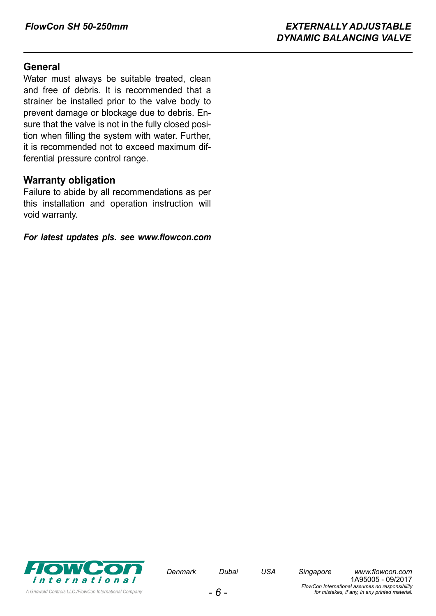#### **General**

Water must always be suitable treated, clean and free of debris. It is recommended that a strainer be installed prior to the valve body to prevent damage or blockage due to debris. Ensure that the valve is not in the fully closed position when filling the system with water. Further, it is recommended not to exceed maximum differential pressure control range.

#### **Warranty obligation**

Failure to abide by all recommendations as per this installation and operation instruction will void warranty.

*[F](http://www.flowcon.com)or latest updates pls. see [www.flowcon.com](http://www.flowcon.com)*

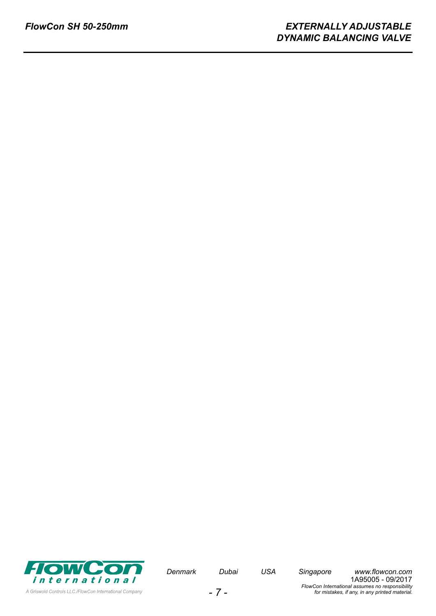

*FlowCon International assumes no responsibility for mistakes, if any, in any printed material. Denmark Dubai USA Singapore [www.flowcon.com](http://www.flowcon.com)*